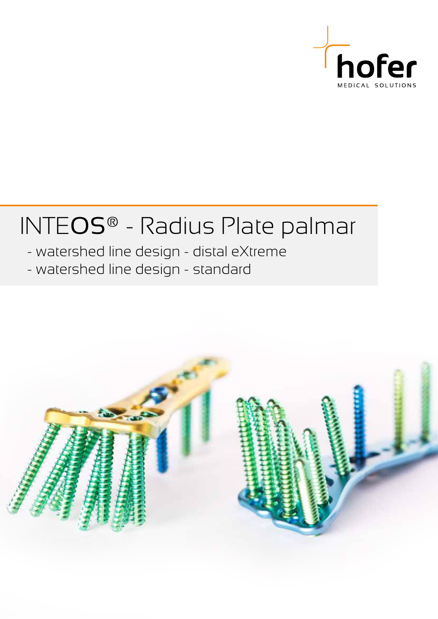

# INTEOS® - Radius Plate palmar

- watershed line design - distal eXtreme

- watershed line design - standard

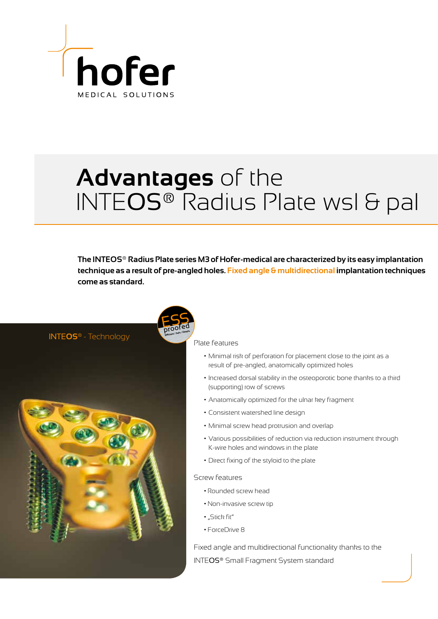

## **Advantages** of the INTEOS® Radius Plate wsl & pal

**The INTEOS® Radius Plate series M3 of Hofer-medical are characterized by its easy implantation technique as a result of pre-angled holes. Fixed angle & multidirectional implantation techniques come as standard.**

INTE**OS®** - Technology



Plate features

- Minimal risk of perforation for placement close to the joint as a result of pre-angled, anatomically optimized holes
- Increased dorsal stability in the osteoporotic bone thanks to a third (supporting) row of screws
- Anatomically optimized for the ulnar key fragment
- Consistent watershed line design
- Minimal screw head protrusion and overlap
- Various possibilities of reduction via reduction instrument through K-wire holes and windows in the plate
- Direct fixing of the styloid to the plate

#### Screw features

- Rounded screw head
- Non-invasive screw tip
- "Stick fit"
- ForceDrive 8

Fixed angle and multidirectional functionality thanks to the INTEOS® Small Fragment System standard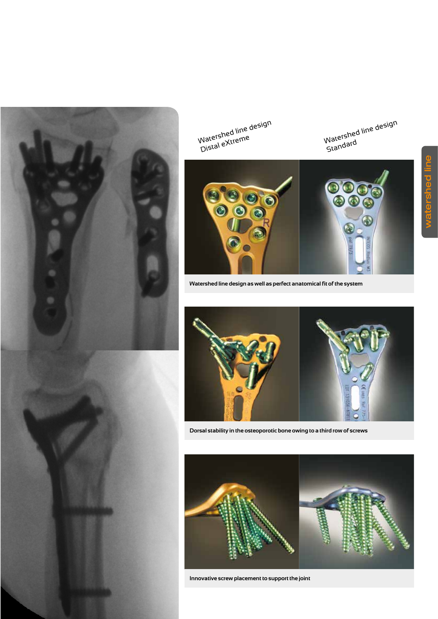



**Watershed line design as well as perfect anatomical fit of the system**

**Dorsal stability in the osteoporotic bone owing to a third row of screws**

Watershed line design viduelation interneer

Watershed line design Standard



**Innovative screw placement to support the joint**